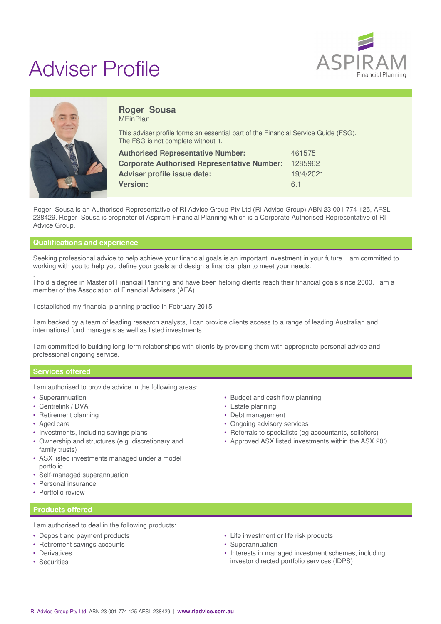

# Adviser Profile



#### **Roger Sousa** MFinPlan

This adviser profile forms an essential part of the Financial Service Guide (FSG). The FSG is not complete without it.

| <b>Authorised Representative Number:</b>           | 461575    |
|----------------------------------------------------|-----------|
| <b>Corporate Authorised Representative Number:</b> | 1285962   |
| Adviser profile issue date:                        | 19/4/2021 |
| <b>Version:</b>                                    | 61        |

Roger Sousa is an Authorised Representative of RI Advice Group Pty Ltd (RI Advice Group) ABN 23 001 774 125, AFSL 238429. Roger Sousa is proprietor of Aspiram Financial Planning which is a Corporate Authorised Representative of RI Advice Group.

# **Qualifications and experience**

Seeking professional advice to help achieve your financial goals is an important investment in your future. I am committed to working with you to help you define your goals and design a financial plan to meet your needs.

. I hold a degree in Master of Financial Planning and have been helping clients reach their financial goals since 2000. I am a member of the Association of Financial Advisers (AFA).

I established my financial planning practice in February 2015.

I am backed by a team of leading research analysts, I can provide clients access to a range of leading Australian and international fund managers as well as listed investments.

I am committed to building long-term relationships with clients by providing them with appropriate personal advice and professional ongoing service.

## **Services offered**

I am authorised to provide advice in the following areas:

- Superannuation
- Centrelink / DVA
- Retirement planning
- Aged care
- Investments, including savings plans
- Ownership and structures (e.g. discretionary and family trusts)
- ASX listed investments managed under a model portfolio
- Self-managed superannuation
- Personal insurance
- Portfolio review

## **Products offered**

I am authorised to deal in the following products:

- Deposit and payment products
- Retirement savings accounts
- Derivatives
- Securities
- Budget and cash flow planning
- Estate planning
- Debt management
- Ongoing advisory services
- Referrals to specialists (eg accountants, solicitors)
- Approved ASX listed investments within the ASX 200

- Life investment or life risk products
- Superannuation
- Interests in managed investment schemes, including investor directed portfolio services (IDPS)